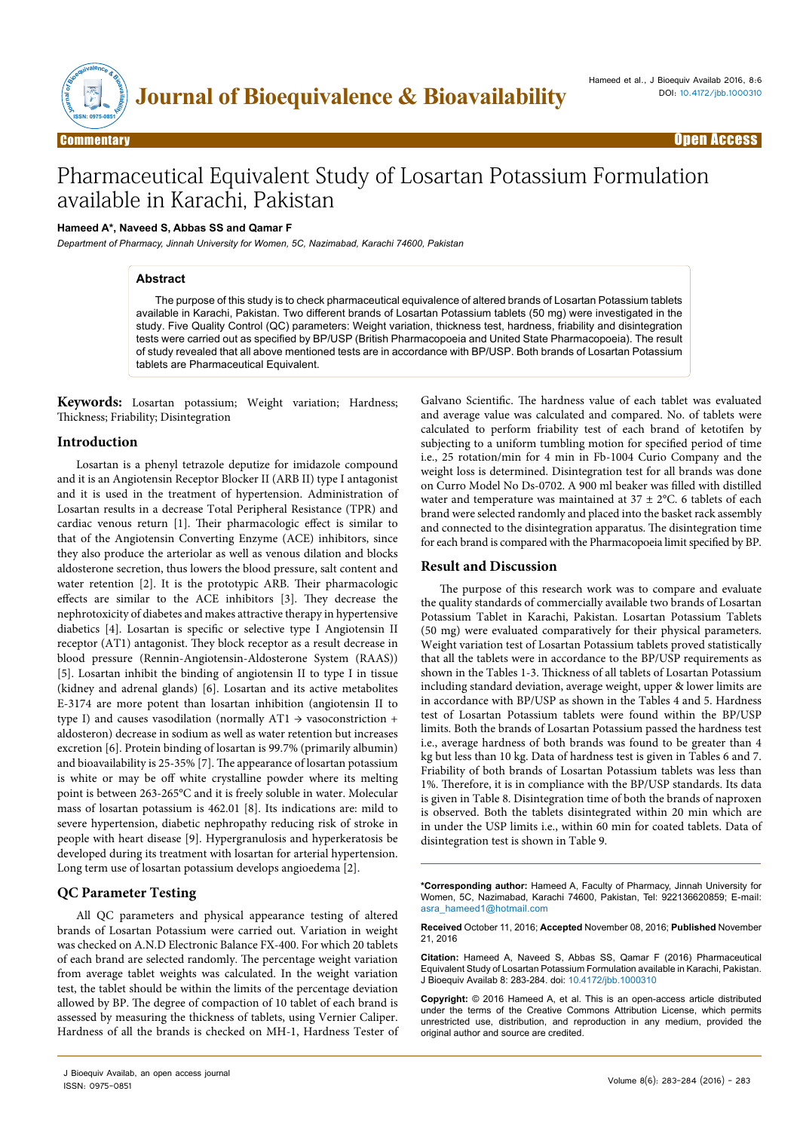

# Pharmaceutical Equivalent Study of Losartan Potassium Formulation available in Karachi, Pakistan

# **Hameed A\*, Naveed S, Abbas SS and Qamar F**

*Department of Pharmacy, Jinnah University for Women, 5C, Nazimabad, Karachi 74600, Pakistan*

#### **Abstract**

The purpose of this study is to check pharmaceutical equivalence of altered brands of Losartan Potassium tablets available in Karachi, Pakistan. Two different brands of Losartan Potassium tablets (50 mg) were investigated in the study. Five Quality Control (QC) parameters: Weight variation, thickness test, hardness, friability and disintegration tests were carried out as specified by BP/USP (British Pharmacopoeia and United State Pharmacopoeia). The result of study revealed that all above mentioned tests are in accordance with BP/USP. Both brands of Losartan Potassium tablets are Pharmaceutical Equivalent.

**Keywords:** Losartan potassium; Weight variation; Hardness; Thickness; Friability; Disintegration

### **Introduction**

Losartan is a phenyl tetrazole deputize for imidazole compound and it is an Angiotensin Receptor Blocker II (ARB II) type I antagonist and it is used in the treatment of hypertension. Administration of Losartan results in a decrease Total Peripheral Resistance (TPR) and cardiac venous return [1]. Their pharmacologic effect is similar to that of the Angiotensin Converting Enzyme (ACE) inhibitors, since they also produce the arteriolar as well as venous dilation and blocks aldosterone secretion, thus lowers the blood pressure, salt content and water retention [2]. It is the prototypic ARB. Their pharmacologic effects are similar to the ACE inhibitors [3]. They decrease the nephrotoxicity of diabetes and makes attractive therapy in hypertensive diabetics [4]. Losartan is specific or selective type I Angiotensin II receptor (AT1) antagonist. They block receptor as a result decrease in blood pressure (Rennin-Angiotensin-Aldosterone System (RAAS)) [5]. Losartan inhibit the binding of angiotensin II to type I in tissue (kidney and adrenal glands) [6]. Losartan and its active metabolites E-3174 are more potent than losartan inhibition (angiotensin II to type I) and causes vasodilation (normally AT1  $\rightarrow$  vasoconstriction + aldosteron) decrease in sodium as well as water retention but increases excretion [6]. Protein binding of losartan is 99.7% (primarily albumin) and bioavailability is 25-35% [7]. The appearance of losartan potassium is white or may be off white crystalline powder where its melting point is between 263-265°C and it is freely soluble in water. Molecular mass of losartan potassium is 462.01 [8]. Its indications are: mild to severe hypertension, diabetic nephropathy reducing risk of stroke in people with heart disease [9]. Hypergranulosis and hyperkeratosis be developed during its treatment with losartan for arterial hypertension. Long term use of losartan potassium develops angioedema [2].

## **QC Parameter Testing**

All QC parameters and physical appearance testing of altered brands of Losartan Potassium were carried out. Variation in weight was checked on A.N.D Electronic Balance FX-400. For which 20 tablets of each brand are selected randomly. The percentage weight variation from average tablet weights was calculated. In the weight variation test, the tablet should be within the limits of the percentage deviation allowed by BP. The degree of compaction of 10 tablet of each brand is assessed by measuring the thickness of tablets, using Vernier Caliper. Hardness of all the brands is checked on MH-1, Hardness Tester of

Galvano Scientific. The hardness value of each tablet was evaluated and average value was calculated and compared. No. of tablets were calculated to perform friability test of each brand of ketotifen by subjecting to a uniform tumbling motion for specified period of time i.e., 25 rotation/min for 4 min in Fb-1004 Curio Company and the weight loss is determined. Disintegration test for all brands was done on Curro Model No Ds-0702. A 900 ml beaker was filled with distilled water and temperature was maintained at  $37 \pm 2$ °C. 6 tablets of each brand were selected randomly and placed into the basket rack assembly and connected to the disintegration apparatus. The disintegration time for each brand is compared with the Pharmacopoeia limit specified by BP.

### **Result and Discussion**

The purpose of this research work was to compare and evaluate the quality standards of commercially available two brands of Losartan Potassium Tablet in Karachi, Pakistan. Losartan Potassium Tablets (50 mg) were evaluated comparatively for their physical parameters. Weight variation test of Losartan Potassium tablets proved statistically that all the tablets were in accordance to the BP/USP requirements as shown in the Tables 1-3. Thickness of all tablets of Losartan Potassium including standard deviation, average weight, upper & lower limits are in accordance with BP/USP as shown in the Tables 4 and 5. Hardness test of Losartan Potassium tablets were found within the BP/USP limits. Both the brands of Losartan Potassium passed the hardness test i.e., average hardness of both brands was found to be greater than 4 kg but less than 10 kg. Data of hardness test is given in Tables 6 and 7. Friability of both brands of Losartan Potassium tablets was less than 1%. Therefore, it is in compliance with the BP/USP standards. Its data is given in Table 8. Disintegration time of both the brands of naproxen is observed. Both the tablets disintegrated within 20 min which are in under the USP limits i.e., within 60 min for coated tablets. Data of disintegration test is shown in Table 9.

**\*Corresponding author:** Hameed A, Faculty of Pharmacy, Jinnah University for Women, 5C, Nazimabad, Karachi 74600, Pakistan, Tel: 922136620859; E-mail: asra\_hameed1@hotmail.com

**Received** October 11, 2016; **Accepted** November 08, 2016; **Published** November 21, 2016

**Citation:** Hameed A, Naveed S, Abbas SS, Qamar F (2016) Pharmaceutical Equivalent Study of Losartan Potassium Formulation available in Karachi, Pakistan. J Bioequiv Availab 8: 283-284. doi: 10.4172/jbb.1000310

**Copyright:** © 2016 Hameed A, et al. This is an open-access article distributed under the terms of the Creative Commons Attribution License, which permits unrestricted use, distribution, and reproduction in any medium, provided the original author and source are credited.